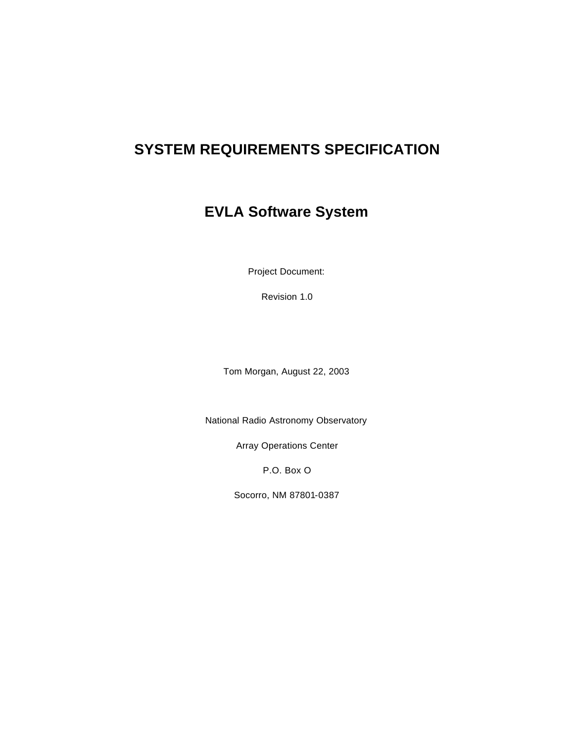# **SYSTEM REQUIREMENTS SPECIFICATION**

# **EVLA Software System**

Project Document:

Revision 1.0

Tom Morgan, August 22, 2003

National Radio Astronomy Observatory

Array Operations Center

P.O. Box O

Socorro, NM 87801-0387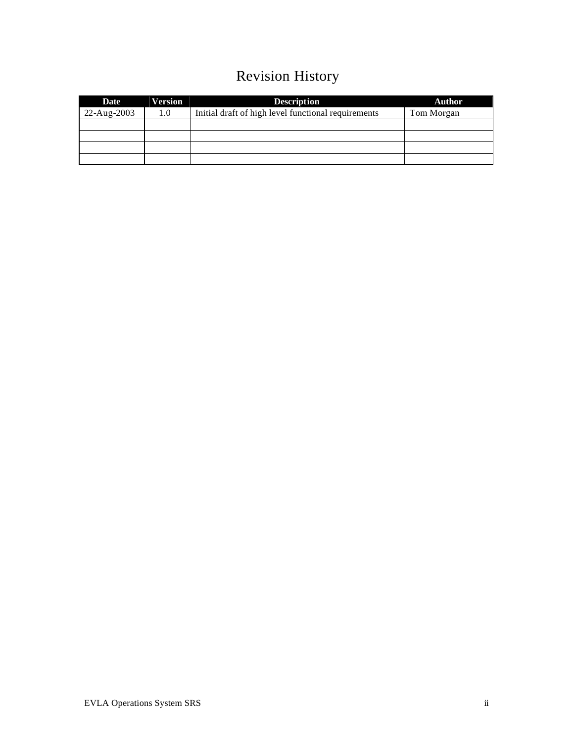# Revision History

| Date        | <b>Version</b> | <b>Description</b>                                  | <b>Author</b> |
|-------------|----------------|-----------------------------------------------------|---------------|
| 22-Aug-2003 | 1.0            | Initial draft of high level functional requirements | Tom Morgan    |
|             |                |                                                     |               |
|             |                |                                                     |               |
|             |                |                                                     |               |
|             |                |                                                     |               |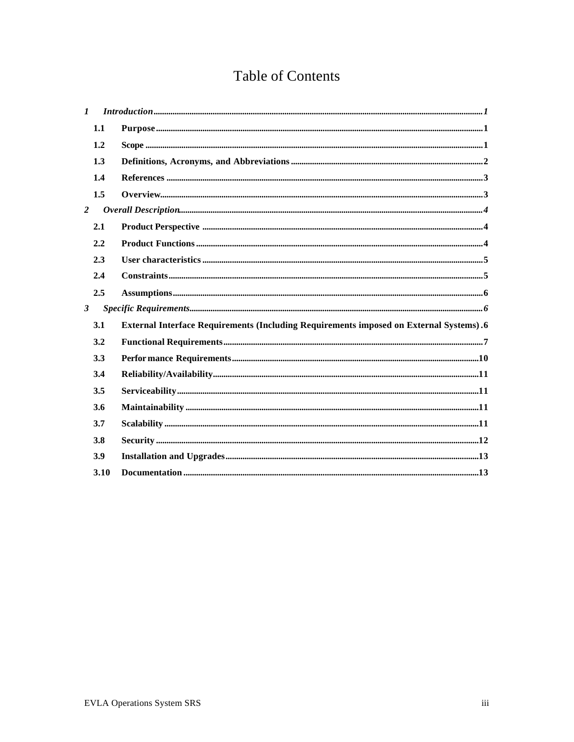# **Table of Contents**

| 1.1<br>1.2<br>1.3<br>1.4<br>1.5<br>$\overline{2}$<br>2.1<br>2.2<br>2.3<br>2.4<br>2.5<br>$\mathbf{3}$<br>3.1<br>3.2<br>3.3<br>3.4<br>3.5<br>3.6<br>3.7<br>3.8 | $\mathbf{I}$ |     |                                                                                                                                                                                                                                                                                                                                                                                                                                                                                                                                                                 |
|--------------------------------------------------------------------------------------------------------------------------------------------------------------|--------------|-----|-----------------------------------------------------------------------------------------------------------------------------------------------------------------------------------------------------------------------------------------------------------------------------------------------------------------------------------------------------------------------------------------------------------------------------------------------------------------------------------------------------------------------------------------------------------------|
|                                                                                                                                                              |              |     | ${\bf Purpose}\ _{\bf m}\quad \  \  \, {\bf number}\quad \  \  \, {\bf number}\quad \  \  \, {\bf number}\quad \  \  \, {\bf number}\quad \  \  \, {\bf number}\quad \  \  \, {\bf number}\quad \  \  \, {\bf number}\quad \  \  \, {\bf number}\quad \  \  \, {\bf number}\quad \  \  \, {\bf number}\quad \  \  \, {\bf number}\quad \  \  \, {\bf number}\quad \  \  \, {\bf number}\quad \  \  \, {\bf number}\quad \  \  \, {\bf number}\quad \  \  \, {\bf number}\quad \  \  \, {\bf number}\quad \  \  \, {\bf number}\quad \  \  \, {\bf number}\quad$ |
|                                                                                                                                                              |              |     |                                                                                                                                                                                                                                                                                                                                                                                                                                                                                                                                                                 |
|                                                                                                                                                              |              |     |                                                                                                                                                                                                                                                                                                                                                                                                                                                                                                                                                                 |
|                                                                                                                                                              |              |     |                                                                                                                                                                                                                                                                                                                                                                                                                                                                                                                                                                 |
|                                                                                                                                                              |              |     |                                                                                                                                                                                                                                                                                                                                                                                                                                                                                                                                                                 |
|                                                                                                                                                              |              |     |                                                                                                                                                                                                                                                                                                                                                                                                                                                                                                                                                                 |
|                                                                                                                                                              |              |     |                                                                                                                                                                                                                                                                                                                                                                                                                                                                                                                                                                 |
|                                                                                                                                                              |              |     |                                                                                                                                                                                                                                                                                                                                                                                                                                                                                                                                                                 |
|                                                                                                                                                              |              |     |                                                                                                                                                                                                                                                                                                                                                                                                                                                                                                                                                                 |
|                                                                                                                                                              |              |     |                                                                                                                                                                                                                                                                                                                                                                                                                                                                                                                                                                 |
|                                                                                                                                                              |              |     |                                                                                                                                                                                                                                                                                                                                                                                                                                                                                                                                                                 |
|                                                                                                                                                              |              |     |                                                                                                                                                                                                                                                                                                                                                                                                                                                                                                                                                                 |
|                                                                                                                                                              |              |     | <b>External Interface Requirements (Including Requirements imposed on External Systems).6</b>                                                                                                                                                                                                                                                                                                                                                                                                                                                                   |
|                                                                                                                                                              |              |     |                                                                                                                                                                                                                                                                                                                                                                                                                                                                                                                                                                 |
|                                                                                                                                                              |              |     |                                                                                                                                                                                                                                                                                                                                                                                                                                                                                                                                                                 |
|                                                                                                                                                              |              |     |                                                                                                                                                                                                                                                                                                                                                                                                                                                                                                                                                                 |
|                                                                                                                                                              |              |     |                                                                                                                                                                                                                                                                                                                                                                                                                                                                                                                                                                 |
|                                                                                                                                                              |              |     |                                                                                                                                                                                                                                                                                                                                                                                                                                                                                                                                                                 |
|                                                                                                                                                              |              |     |                                                                                                                                                                                                                                                                                                                                                                                                                                                                                                                                                                 |
|                                                                                                                                                              |              |     |                                                                                                                                                                                                                                                                                                                                                                                                                                                                                                                                                                 |
|                                                                                                                                                              |              | 3.9 |                                                                                                                                                                                                                                                                                                                                                                                                                                                                                                                                                                 |
| 3.10                                                                                                                                                         |              |     |                                                                                                                                                                                                                                                                                                                                                                                                                                                                                                                                                                 |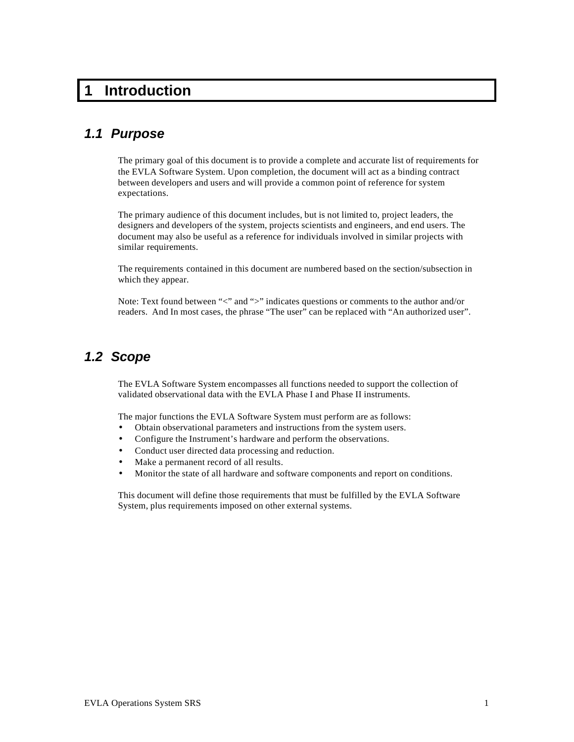# **1 Introduction**

## *1.1 Purpose*

The primary goal of this document is to provide a complete and accurate list of requirements for the EVLA Software System. Upon completion, the document will act as a binding contract between developers and users and will provide a common point of reference for system expectations.

The primary audience of this document includes, but is not limited to, project leaders, the designers and developers of the system, projects scientists and engineers, and end users. The document may also be useful as a reference for individuals involved in similar projects with similar requirements.

The requirements contained in this document are numbered based on the section/subsection in which they appear.

Note: Text found between "<" and ">" indicates questions or comments to the author and/or readers. And In most cases, the phrase "The user" can be replaced with "An authorized user".

### *1.2 Scope*

The EVLA Software System encompasses all functions needed to support the collection of validated observational data with the EVLA Phase I and Phase II instruments.

The major functions the EVLA Software System must perform are as follows:

- Obtain observational parameters and instructions from the system users.
- Configure the Instrument's hardware and perform the observations.
- Conduct user directed data processing and reduction.
- Make a permanent record of all results.
- Monitor the state of all hardware and software components and report on conditions.

This document will define those requirements that must be fulfilled by the EVLA Software System, plus requirements imposed on other external systems.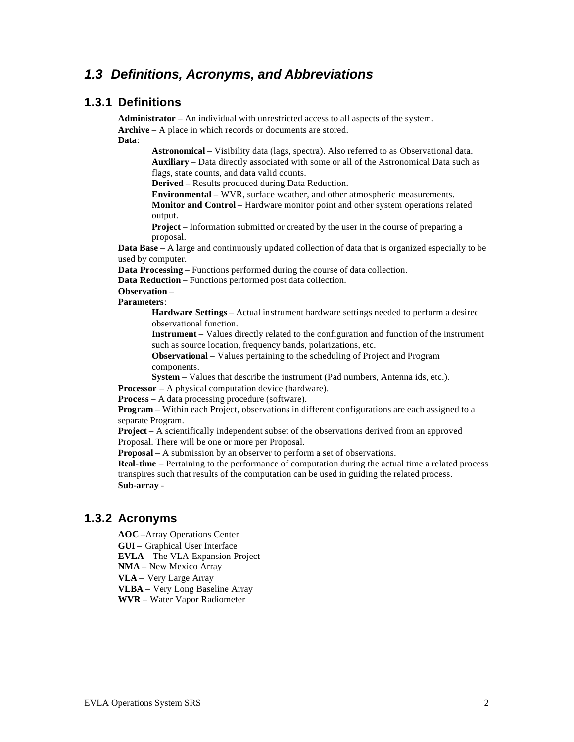## *1.3 Definitions, Acronyms, and Abbreviations*

### **1.3.1 Definitions**

**Administrator** – An individual with unrestricted access to all aspects of the system. **Archive** – A place in which records or documents are stored. **Data**:

> **Astronomical** – Visibility data (lags, spectra). Also referred to as Observational data. **Auxiliary** – Data directly associated with some or all of the Astronomical Data such as flags, state counts, and data valid counts.

**Derived** – Results produced during Data Reduction.

**Environmental** – WVR, surface weather, and other atmospheric measurements.

**Monitor and Control** – Hardware monitor point and other system operations related output.

**Project** – Information submitted or created by the user in the course of preparing a proposal.

**Data Base** – A large and continuously updated collection of data that is organized especially to be used by computer.

**Data Processing** – Functions performed during the course of data collection.

**Data Reduction** – Functions performed post data collection.

#### **Observation** –

**Parameters**:

**Hardware Settings** – Actual instrument hardware settings needed to perform a desired observational function.

**Instrument** – Values directly related to the configuration and function of the instrument such as source location, frequency bands, polarizations, etc.

**Observational** – Values pertaining to the scheduling of Project and Program components.

**System** – Values that describe the instrument (Pad numbers, Antenna ids, etc.).

**Processor** – A physical computation device (hardware).

**Process** – A data processing procedure (software).

**Program** – Within each Project, observations in different configurations are each assigned to a separate Program.

**Project** – A scientifically independent subset of the observations derived from an approved Proposal. There will be one or more per Proposal.

**Proposal** – A submission by an observer to perform a set of observations.

**Real-time** – Pertaining to the performance of computation during the actual time a related process transpires such that results of the computation can be used in guiding the related process. **Sub-array** -

#### **1.3.2 Acronyms**

**AOC** –Array Operations Center

**GUI** – Graphical User Interface

**EVLA** – The VLA Expansion Project

**NMA** – New Mexico Array

**VLA** – Very Large Array

**VLBA** – Very Long Baseline Array

**WVR** – Water Vapor Radiometer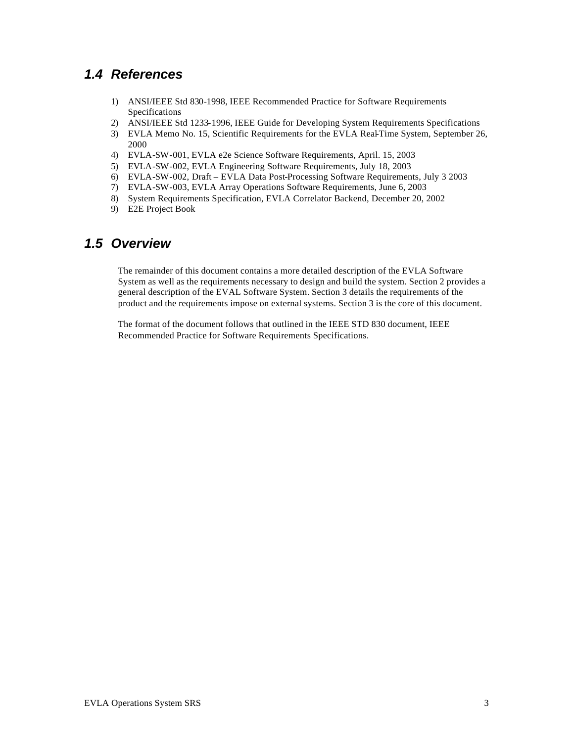## *1.4 References*

- 1) ANSI/IEEE Std 830-1998, IEEE Recommended Practice for Software Requirements Specifications
- 2) ANSI/IEEE Std 1233-1996, IEEE Guide for Developing System Requirements Specifications
- 3) EVLA Memo No. 15, Scientific Requirements for the EVLA Real-Time System, September 26, 2000
- 4) EVLA-SW-001, EVLA e2e Science Software Requirements, April. 15, 2003
- 5) EVLA-SW-002, EVLA Engineering Software Requirements, July 18, 2003
- 6) EVLA-SW-002, Draft EVLA Data Post-Processing Software Requirements, July 3 2003
- 7) EVLA-SW-003, EVLA Array Operations Software Requirements, June 6, 2003
- 8) System Requirements Specification, EVLA Correlator Backend, December 20, 2002
- 9) E2E Project Book

## *1.5 Overview*

The remainder of this document contains a more detailed description of the EVLA Software System as well as the requirements necessary to design and build the system. Section 2 provides a general description of the EVAL Software System. Section 3 details the requirements of the product and the requirements impose on external systems. Section 3 is the core of this document.

The format of the document follows that outlined in the IEEE STD 830 document, IEEE Recommended Practice for Software Requirements Specifications.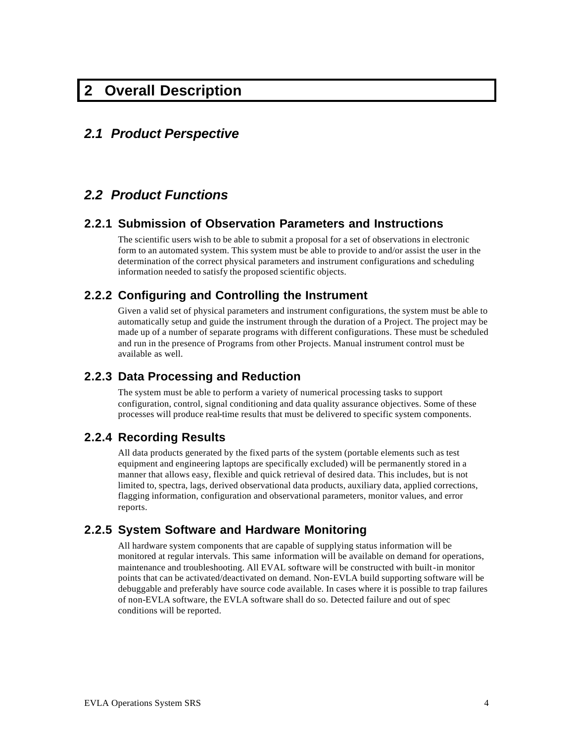## **2 Overall Description**

### *2.1 Product Perspective*

## *2.2 Product Functions*

#### **2.2.1 Submission of Observation Parameters and Instructions**

The scientific users wish to be able to submit a proposal for a set of observations in electronic form to an automated system. This system must be able to provide to and/or assist the user in the determination of the correct physical parameters and instrument configurations and scheduling information needed to satisfy the proposed scientific objects.

### **2.2.2 Configuring and Controlling the Instrument**

Given a valid set of physical parameters and instrument configurations, the system must be able to automatically setup and guide the instrument through the duration of a Project. The project may be made up of a number of separate programs with different configurations. These must be scheduled and run in the presence of Programs from other Projects. Manual instrument control must be available as well.

#### **2.2.3 Data Processing and Reduction**

The system must be able to perform a variety of numerical processing tasks to support configuration, control, signal conditioning and data quality assurance objectives. Some of these processes will produce real-time results that must be delivered to specific system components.

#### **2.2.4 Recording Results**

All data products generated by the fixed parts of the system (portable elements such as test equipment and engineering laptops are specifically excluded) will be permanently stored in a manner that allows easy, flexible and quick retrieval of desired data. This includes, but is not limited to, spectra, lags, derived observational data products, auxiliary data, applied corrections, flagging information, configuration and observational parameters, monitor values, and error reports.

#### **2.2.5 System Software and Hardware Monitoring**

All hardware system components that are capable of supplying status information will be monitored at regular intervals. This same information will be available on demand for operations, maintenance and troubleshooting. All EVAL software will be constructed with built-in monitor points that can be activated/deactivated on demand. Non-EVLA build supporting software will be debuggable and preferably have source code available. In cases where it is possible to trap failures of non-EVLA software, the EVLA software shall do so. Detected failure and out of spec conditions will be reported.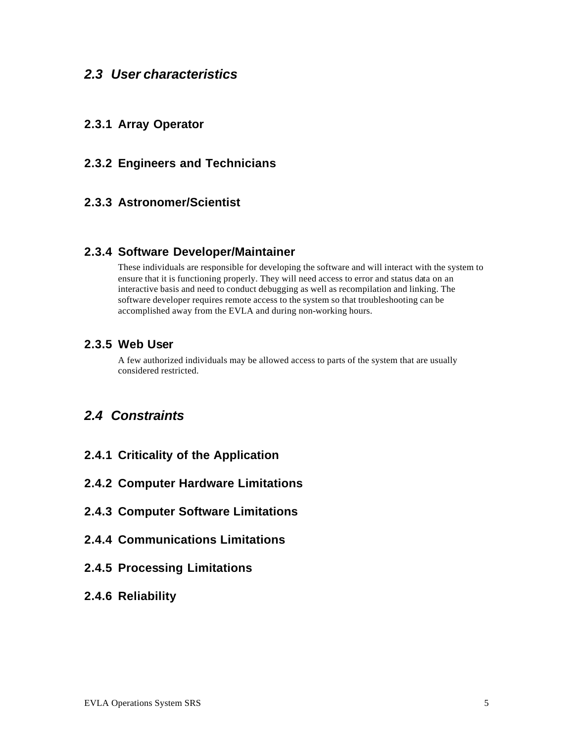### *2.3 User characteristics*

### **2.3.1 Array Operator**

### **2.3.2 Engineers and Technicians**

### **2.3.3 Astronomer/Scientist**

#### **2.3.4 Software Developer/Maintainer**

These individuals are responsible for developing the software and will interact with the system to ensure that it is functioning properly. They will need access to error and status data on an interactive basis and need to conduct debugging as well as recompilation and linking. The software developer requires remote access to the system so that troubleshooting can be accomplished away from the EVLA and during non-working hours.

### **2.3.5 Web User**

A few authorized individuals may be allowed access to parts of the system that are usually considered restricted.

## *2.4 Constraints*

- **2.4.1 Criticality of the Application**
- **2.4.2 Computer Hardware Limitations**
- **2.4.3 Computer Software Limitations**
- **2.4.4 Communications Limitations**
- **2.4.5 Processing Limitations**
- **2.4.6 Reliability**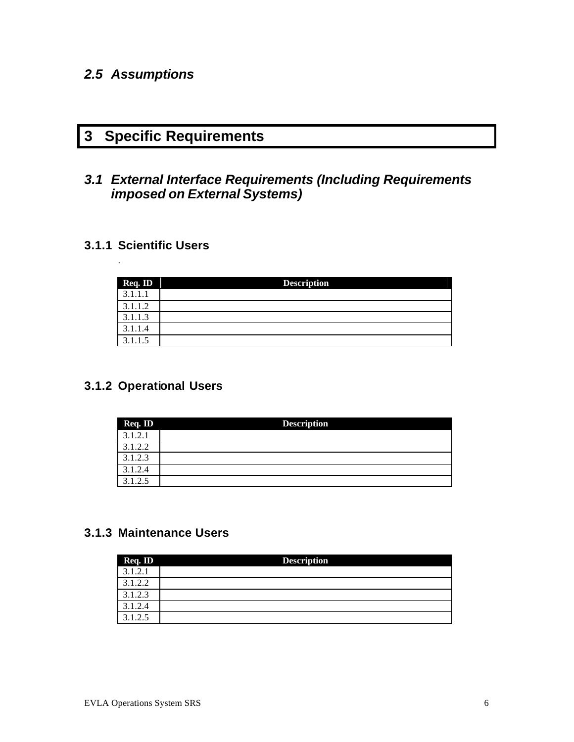## *2.5 Assumptions*

# **3 Specific Requirements**

## *3.1 External Interface Requirements (Including Requirements imposed on External Systems)*

### **3.1.1 Scientific Users**

.

| Req. ID | <b>Description</b> |
|---------|--------------------|
| 3.1.1.1 |                    |
| 3.1.1.2 |                    |
| 3.1.1.3 |                    |
| 3.1.1.4 |                    |
| 3.1.1.5 |                    |

## **3.1.2 Operational Users**

| Req. ID | <b>Description</b> |
|---------|--------------------|
| 3.1.2.1 |                    |
| 3.1.2.2 |                    |
| 3.1.2.3 |                    |
| 3.1.2.4 |                    |
| 3.1.2.5 |                    |

### **3.1.3 Maintenance Users**

| Req. ID | <b>Description</b> |
|---------|--------------------|
| 3.1.2.1 |                    |
| 3.1.2.2 |                    |
| 3.1.2.3 |                    |
| 3.1.2.4 |                    |
| 3.1.2.5 |                    |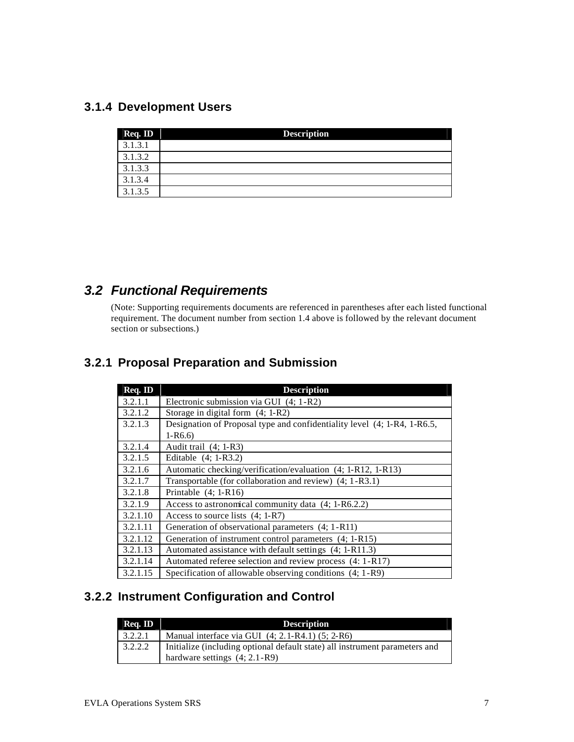### **3.1.4 Development Users**

| Req. ID | <b>Description</b> |
|---------|--------------------|
| 3.1.3.1 |                    |
| 3.1.3.2 |                    |
| 3.1.3.3 |                    |
| 3.1.3.4 |                    |
| 3.1.3.5 |                    |

## *3.2 Functional Requirements*

(Note: Supporting requirements documents are referenced in parentheses after each listed functional requirement. The document number from section 1.4 above is followed by the relevant document section or subsections.)

## **3.2.1 Proposal Preparation and Submission**

| Req. ID  | <b>Description</b>                                                       |  |
|----------|--------------------------------------------------------------------------|--|
| 3.2.1.1  | Electronic submission via GUI (4; 1-R2)                                  |  |
| 3.2.1.2  | Storage in digital form $(4; 1-R2)$                                      |  |
| 3.2.1.3  | Designation of Proposal type and confidentiality level (4; 1-R4, 1-R6.5, |  |
|          | $1-R6.6$                                                                 |  |
| 3.2.1.4  | Audit trail $(4; 1-R3)$                                                  |  |
| 3.2.1.5  | Editable $(4; 1-R3.2)$                                                   |  |
| 3.2.1.6  | Automatic checking/verification/evaluation (4; 1-R12, 1-R13)             |  |
| 3.2.1.7  | Transportable (for collaboration and review) (4; 1-R3.1)                 |  |
| 3.2.1.8  | Printable $(4; 1-R16)$                                                   |  |
| 3.2.1.9  | Access to astronomical community data (4; 1-R6.2.2)                      |  |
| 3.2.1.10 | Access to source lists $(4; 1-R7)$                                       |  |
| 3.2.1.11 | Generation of observational parameters (4; 1-R11)                        |  |
| 3.2.1.12 | Generation of instrument control parameters (4; 1-R15)                   |  |
| 3.2.1.13 | Automated assistance with default settings (4; 1-R11.3)                  |  |
| 3.2.1.14 | Automated referee selection and review process (4: 1-R17)                |  |
| 3.2.1.15 | Specification of allowable observing conditions (4; 1-R9)                |  |

## **3.2.2 Instrument Configuration and Control**

| Req. ID | <b>Description</b>                                                                                             |  |
|---------|----------------------------------------------------------------------------------------------------------------|--|
| 3.2.2.1 | Manual interface via GUI $(4; 2.1-R4.1)$ $(5; 2-R6)$                                                           |  |
| 3.2.2.2 | Initialize (including optional default state) all instrument parameters and<br>hardware settings $(4; 2.1-R9)$ |  |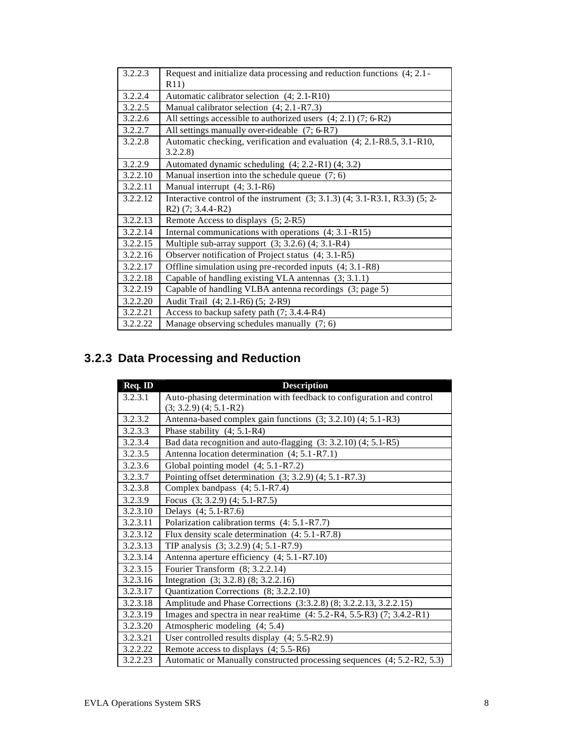| 3.2.2.3  | Request and initialize data processing and reduction functions (4, 2.1 -          |
|----------|-----------------------------------------------------------------------------------|
|          | R11)                                                                              |
| 3.2.2.4  | Automatic calibrator selection (4; 2.1-R10)                                       |
| 3.2.2.5  | Manual calibrator selection (4; 2.1-R7.3)                                         |
| 3.2.2.6  | All settings accessible to authorized users $(4; 2.1)$ $(7; 6-R2)$                |
| 3.2.2.7  | All settings manually over-rideable (7; 6-R7)                                     |
| 3.2.2.8  | Automatic checking, verification and evaluation (4; 2.1-R8.5, 3.1-R10,            |
|          | 3.2.2.8                                                                           |
| 3.2.2.9  | Automated dynamic scheduling $(4; 2.2-R1)$ $(4; 3.2)$                             |
| 3.2.2.10 | Manual insertion into the schedule queue $(7, 6)$                                 |
| 3.2.2.11 | Manual interrupt (4; 3.1-R6)                                                      |
| 3.2.2.12 | Interactive control of the instrument $(3, 3.1.3)$ $(4, 3.1-R3.1, R3.3)$ $(5, 2-$ |
|          | $R2)$ (7; 3.4.4-R2)                                                               |
| 3.2.2.13 | Remote Access to displays (5; 2-R5)                                               |
| 3.2.2.14 | Internal communications with operations (4; 3.1-R15)                              |
| 3.2.2.15 | Multiple sub-array support $(3, 3.2.6)$ $(4, 3.1-R4)$                             |
| 3.2.2.16 | Observer notification of Project status (4; 3.1-R5)                               |
| 3.2.2.17 | Offline simulation using pre-recorded inputs (4; 3.1-R8)                          |
| 3.2.2.18 | Capable of handling existing VLA antennas (3; 3.1.1)                              |
| 3.2.2.19 | Capable of handling VLBA antenna recordings (3; page 5)                           |
| 3.2.2.20 | Audit Trail (4; 2.1-R6) (5; 2-R9)                                                 |
| 3.2.2.21 | Access to backup safety path (7; 3.4.4-R4)                                        |
| 3.2.2.22 | Manage observing schedules manually $(7, 6)$                                      |

# **3.2.3 Data Processing and Reduction**

| Req. ID  | <b>Description</b>                                                         |
|----------|----------------------------------------------------------------------------|
| 3.2.3.1  | Auto-phasing determination with feedback to configuration and control      |
|          | $(3; 3.2.9)$ $(4; 5.1 - R2)$                                               |
| 3.2.3.2  | Antenna-based complex gain functions (3; 3.2.10) (4; 5.1-R3)               |
| 3.2.3.3  | Phase stability $(4; 5.1-R4)$                                              |
| 3.2.3.4  | Bad data recognition and auto-flagging (3: 3.2.10) (4; 5.1-R5)             |
| 3.2.3.5  | Antenna location determination (4; 5.1-R7.1)                               |
| 3.2.3.6  | Global pointing model (4; 5.1-R7.2)                                        |
| 3.2.3.7  | Pointing offset determination $(3, 3.2.9)$ $(4, 5.1 - R7.3)$               |
| 3.2.3.8  | Complex bandpass (4; 5.1-R7.4)                                             |
| 3.2.3.9  | Focus (3; 3.2.9) (4; 5.1-R7.5)                                             |
| 3.2.3.10 | Delays (4; 5.1-R7.6)                                                       |
| 3.2.3.11 | Polarization calibration terms (4: 5.1-R7.7)                               |
| 3.2.3.12 | Flux density scale determination $(4: 5.1 - R7.8)$                         |
| 3.2.3.13 | TIP analysis (3; 3.2.9) (4; 5.1-R7.9)                                      |
| 3.2.3.14 | Antenna aperture efficiency (4; 5.1-R7.10)                                 |
| 3.2.3.15 | Fourier Transform (8; 3.2.2.14)                                            |
| 3.2.3.16 | Integration (3; 3.2.8) (8; 3.2.2.16)                                       |
| 3.2.3.17 | Quantization Corrections (8; 3.2.2.10)                                     |
| 3.2.3.18 | Amplitude and Phase Corrections (3:3.2.8) (8; 3.2.2.13, 3.2.2.15)          |
| 3.2.3.19 | Images and spectra in near real-time $(4: 5.2-R4, 5.5-R3)$ $(7: 3.4.2-R1)$ |
| 3.2.3.20 | Atmospheric modeling (4; 5.4)                                              |
| 3.2.3.21 | User controlled results display (4; 5.5-R2.9)                              |
| 3.2.2.22 | Remote access to displays (4; 5.5-R6)                                      |
| 3.2.2.23 | Automatic or Manually constructed processing sequences (4; 5.2-R2, 5.3)    |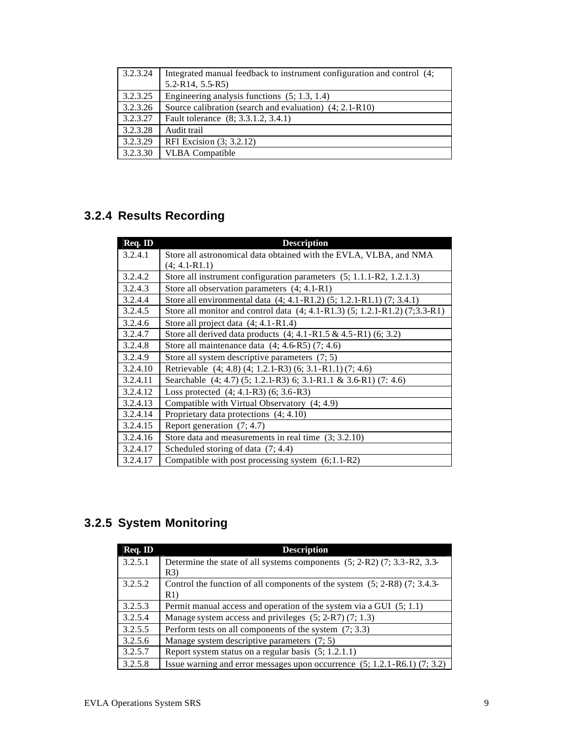| 3.2.3.24 | Integrated manual feedback to instrument configuration and control (4;<br>$5.2-R14, 5.5-R5$ |
|----------|---------------------------------------------------------------------------------------------|
| 3.2.3.25 | Engineering analysis functions $(5; 1.3, 1.4)$                                              |
| 3.2.3.26 | Source calibration (search and evaluation) $(4; 2.1-R10)$                                   |
| 3.2.3.27 | Fault tolerance (8; 3.3.1.2, 3.4.1)                                                         |
| 3.2.3.28 | Audit trail                                                                                 |
| 3.2.3.29 | RFI Excision (3; 3.2.12)                                                                    |
| 3.2.3.30 | <b>VLBA</b> Compatible                                                                      |

# **3.2.4 Results Recording**

| Req. ID  | <b>Description</b>                                                          |
|----------|-----------------------------------------------------------------------------|
| 3.2.4.1  | Store all astronomical data obtained with the EVLA, VLBA, and NMA           |
|          | $(4; 4.1-R1.1)$                                                             |
| 3.2.4.2  | Store all instrument configuration parameters (5; 1.1.1-R2, 1.2.1.3)        |
| 3.2.4.3  | Store all observation parameters (4; 4.1-R1)                                |
| 3.2.4.4  | Store all environmental data (4; 4.1-R1.2) (5; 1.2.1-R1.1) (7; 3.4.1)       |
| 3.2.4.5  | Store all monitor and control data (4; 4.1-R1.3) (5; 1.2.1-R1.2) (7;3.3-R1) |
| 3.2.4.6  | Store all project data $(4; 4.1 - R1.4)$                                    |
| 3.2.4.7  | Store all derived data products $(4; 4.1 - R1.5 & 4.5 - R1)$ $(6; 3.2)$     |
| 3.2.4.8  | Store all maintenance data $(4; 4.6-R5)$ $(7; 4.6)$                         |
| 3.2.4.9  | Store all system descriptive parameters $(7, 5)$                            |
| 3.2.4.10 | Retrievable (4; 4.8) (4; 1.2.1-R3) (6; 3.1-R1.1) (7; 4.6)                   |
| 3.2.4.11 | Searchable (4; 4.7) (5; 1.2.1-R3) 6; 3.1-R1.1 & 3.6-R1) (7: 4.6)            |
| 3.2.4.12 | Loss protected $(4; 4.1-R3)$ $(6; 3.6-R3)$                                  |
| 3.2.4.13 | Compatible with Virtual Observatory (4; 4.9)                                |
| 3.2.4.14 | Proprietary data protections (4; 4.10)                                      |
| 3.2.4.15 | Report generation $(7, 4.7)$                                                |
| 3.2.4.16 | Store data and measurements in real time $(3, 3.2.10)$                      |
| 3.2.4.17 | Scheduled storing of data $(7, 4.4)$                                        |
| 3.2.4.17 | Compatible with post processing system $(6;1.1-R2)$                         |

# **3.2.5 System Monitoring**

| Req. ID | <b>Description</b>                                                              |
|---------|---------------------------------------------------------------------------------|
| 3.2.5.1 | Determine the state of all systems components $(5; 2-R2)$ $(7; 3.3-R2, 3.3-P2)$ |
|         | R3)                                                                             |
| 3.2.5.2 | Control the function of all components of the system $(5; 2-R8)$ $(7; 3.4.3-$   |
|         | R1)                                                                             |
| 3.2.5.3 | Permit manual access and operation of the system via a GUI (5; 1.1)             |
| 3.2.5.4 | Manage system access and privileges $(5; 2-R7)$ $(7; 1.3)$                      |
| 3.2.5.5 | Perform tests on all components of the system $(7, 3.3)$                        |
| 3.2.5.6 | Manage system descriptive parameters $(7, 5)$                                   |
| 3.2.5.7 | Report system status on a regular basis (5; 1.2.1.1)                            |
| 3.2.5.8 | Issue warning and error messages upon occurrence $(5; 1.2.1-R6.1)$ $(7; 3.2)$   |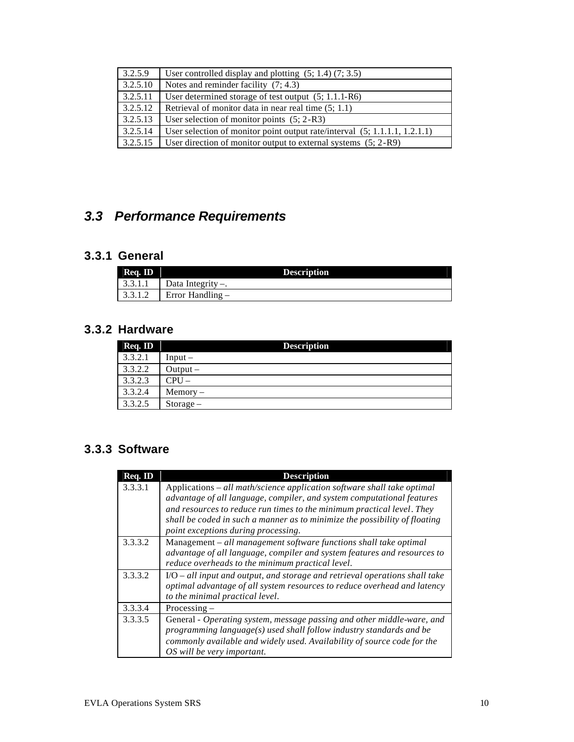| 3.2.5.9  | User controlled display and plotting $(5; 1.4)$ $(7; 3.5)$                   |  |
|----------|------------------------------------------------------------------------------|--|
| 3.2.5.10 | Notes and reminder facility $(7, 4.3)$                                       |  |
| 3.2.5.11 | User determined storage of test output $(5; 1.1.1-R6)$                       |  |
| 3.2.5.12 | Retrieval of monitor data in near real time (5; 1.1)                         |  |
| 3.2.5.13 | User selection of monitor points $(5; 2-R3)$                                 |  |
| 3.2.5.14 | User selection of monitor point output rate/interval $(5; 1.1.1.1, 1.2.1.1)$ |  |
| 3.2.5.15 | User direction of monitor output to external systems $(5; 2-R9)$             |  |

# *3.3 Performance Requirements*

## **3.3.1 General**

| Req. ID | <b>Description</b>               |  |
|---------|----------------------------------|--|
| 3.3.1.1 | $\Box$ Data Integrity $\Box$ .   |  |
|         | $\vert$ 3.3.1.2 Error Handling – |  |

## **3.3.2 Hardware**

| Req. ID | <b>Description</b> |
|---------|--------------------|
| 3.3.2.1 | $Input -$          |
| 3.3.2.2 | Output $-$         |
| 3.3.2.3 | $CPU-$             |
| 3.3.2.4 | $Memory -$         |
| 3.3.2.5 | $Storage -$        |

## **3.3.3 Software**

| Req. ID | <b>Description</b>                                                                                                                                                                                                                                                                                                                                             |
|---------|----------------------------------------------------------------------------------------------------------------------------------------------------------------------------------------------------------------------------------------------------------------------------------------------------------------------------------------------------------------|
| 3.3.3.1 | Applications $-\frac{all}{math}$ math/science application software shall take optimal<br>advantage of all language, compiler, and system computational features<br>and resources to reduce run times to the minimum practical level. They<br>shall be coded in such a manner as to minimize the possibility of floating<br>point exceptions during processing. |
| 3.3.3.2 | Management - all management software functions shall take optimal<br>advantage of all language, compiler and system features and resources to<br>reduce overheads to the minimum practical level.                                                                                                                                                              |
| 3.3.3.2 | $IO – all input and output, and storage and retrieval operations shall take$<br>optimal advantage of all system resources to reduce overhead and latency<br>to the minimal practical level.                                                                                                                                                                    |
| 3.3.3.4 | $Processing -$                                                                                                                                                                                                                                                                                                                                                 |
| 3.3.3.5 | General - Operating system, message passing and other middle-ware, and<br>$programming \ language(s) \ used \ shall \ follow \ industry \ standards \ and \ be$<br>commonly available and widely used. Availability of source code for the<br>OS will be very important.                                                                                       |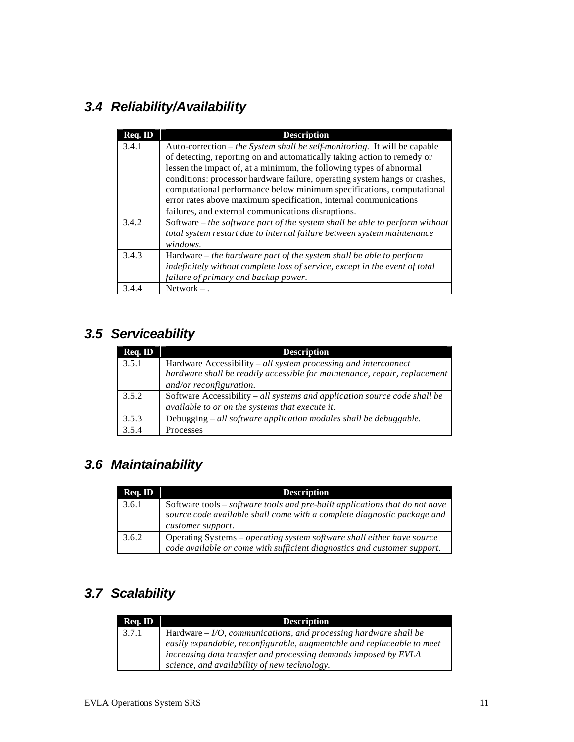# *3.4 Reliability/Availability*

| Req. ID | <b>Description</b>                                                            |
|---------|-------------------------------------------------------------------------------|
| 3.4.1   | Auto-correction – the System shall be self-monitoring. It will be capable     |
|         | of detecting, reporting on and automatically taking action to remedy or       |
|         | lessen the impact of, at a minimum, the following types of abnormal           |
|         | conditions: processor hardware failure, operating system hangs or crashes,    |
|         | computational performance below minimum specifications, computational         |
|         | error rates above maximum specification, internal communications              |
|         | failures, and external communications disruptions.                            |
| 3.4.2   | Software $-$ the software part of the system shall be able to perform without |
|         | total system restart due to internal failure between system maintenance       |
|         | windows.                                                                      |
| 3.4.3   | Hardware $-$ the hardware part of the system shall be able to perform         |
|         | indefinitely without complete loss of service, except in the event of total   |
|         | failure of primary and backup power.                                          |
| 3.4.4   | Network $-$ .                                                                 |

# *3.5 Serviceability*

| Req. ID | <b>Description</b>                                                                                                           |
|---------|------------------------------------------------------------------------------------------------------------------------------|
| 3.5.1   | Hardware Accessibility – all system processing and interconnect                                                              |
|         | hardware shall be readily accessible for maintenance, repair, replacement                                                    |
|         | and/or reconfiguration.                                                                                                      |
| 3.5.2   | Software Accessibility – all systems and application source code shall be<br>available to or on the systems that execute it. |
| 3.5.3   | Debugging $-$ all software application modules shall be debuggable.                                                          |
| 3.5.4   | Processes                                                                                                                    |

# *3.6 Maintainability*

| Req. ID | <b>Description</b>                                                                                                                                                          |
|---------|-----------------------------------------------------------------------------------------------------------------------------------------------------------------------------|
| 3.6.1   | Software tools – software tools and pre-built applications that do not have<br>source code available shall come with a complete diagnostic package and<br>customer support. |
| 3.6.2   | Operating Systems – operating system software shall either have source<br>code available or come with sufficient diagnostics and customer support.                          |

# *3.7 Scalability*

| Req. ID | <b>Description</b>                                                                                                                                                                                                                                              |
|---------|-----------------------------------------------------------------------------------------------------------------------------------------------------------------------------------------------------------------------------------------------------------------|
| 3.7.1   | Hardware $-I/O$ , communications, and processing hardware shall be<br>easily expandable, reconfigurable, augmentable and replaceable to meet<br>increasing data transfer and processing demands imposed by EVLA<br>science, and availability of new technology. |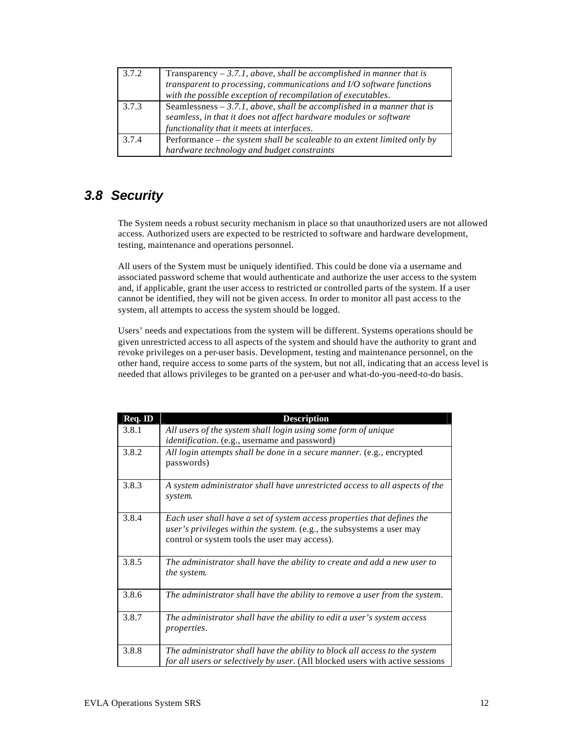| 3.7.2 | Transparency $-3.7.1$ , above, shall be accomplished in manner that is<br>transparent to processing, communications and I/O software functions |
|-------|------------------------------------------------------------------------------------------------------------------------------------------------|
|       | with the possible exception of recompilation of executables.                                                                                   |
| 3.7.3 | Seamlessness $-3.7.1$ , above, shall be accomplished in a manner that is                                                                       |
|       | seamless, in that it does not affect hardware modules or software                                                                              |
|       | functionality that it meets at interfaces.                                                                                                     |
| 3.7.4 | Performance $-$ the system shall be scaleable to an extent limited only by                                                                     |
|       | hardware technology and budget constraints                                                                                                     |

## *3.8 Security*

The System needs a robust security mechanism in place so that unauthorized users are not allowed access. Authorized users are expected to be restricted to software and hardware development, testing, maintenance and operations personnel.

All users of the System must be uniquely identified. This could be done via a username and associated password scheme that would authenticate and authorize the user access to the system and, if applicable, grant the user access to restricted or controlled parts of the system. If a user cannot be identified, they will not be given access. In order to monitor all past access to the system, all attempts to access the system should be logged.

Users' needs and expectations from the system will be different. Systems operations should be given unrestricted access to all aspects of the system and should have the authority to grant and revoke privileges on a per-user basis. Development, testing and maintenance personnel, on the other hand, require access to some parts of the system, but not all, indicating that an access level is needed that allows privileges to be granted on a per-user and what-do-you-need-to-do basis.

| Req. ID | <b>Description</b>                                                                                                                                                                                |  |
|---------|---------------------------------------------------------------------------------------------------------------------------------------------------------------------------------------------------|--|
| 3.8.1   | All users of the system shall login using some form of unique<br>identification. (e.g., username and password)                                                                                    |  |
| 3.8.2   | All login attempts shall be done in a secure manner. (e.g., encrypted<br>passwords)                                                                                                               |  |
| 3.8.3   | A system administrator shall have unrestricted access to all aspects of the<br>system.                                                                                                            |  |
| 3.8.4   | Each user shall have a set of system access properties that defines the<br>user's privileges within the system. (e.g., the subsystems a user may<br>control or system tools the user may access). |  |
| 3.8.5   | The administrator shall have the ability to create and add a new user to<br>the system.                                                                                                           |  |
| 3.8.6   | The administrator shall have the ability to remove a user from the system.                                                                                                                        |  |
| 3.8.7   | The administrator shall have the ability to edit a user's system access<br><i>properties.</i>                                                                                                     |  |
| 3.8.8   | The administrator shall have the ability to block all access to the system<br>for all users or selectively by user. (All blocked users with active sessions                                       |  |